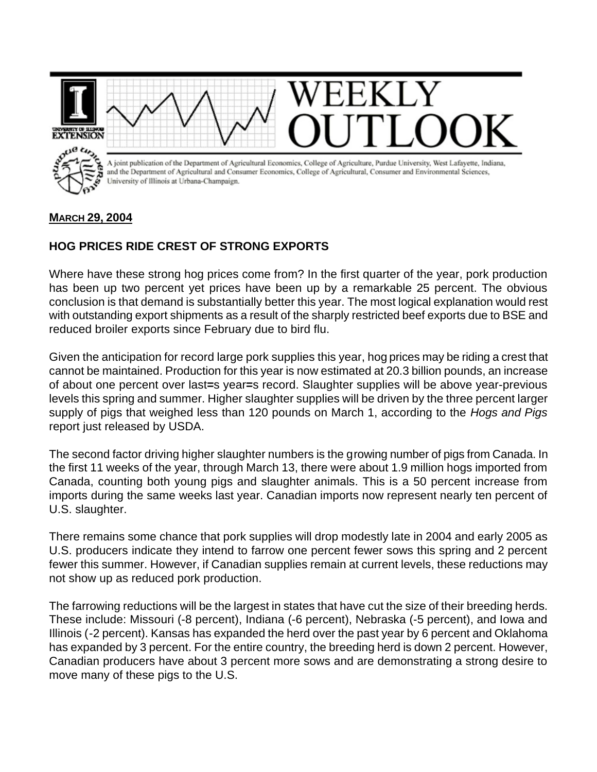

## **MARCH 29, 2004**

## **HOG PRICES RIDE CREST OF STRONG EXPORTS**

Where have these strong hog prices come from? In the first quarter of the year, pork production has been up two percent yet prices have been up by a remarkable 25 percent. The obvious conclusion is that demand is substantially better this year. The most logical explanation would rest with outstanding export shipments as a result of the sharply restricted beef exports due to BSE and reduced broiler exports since February due to bird flu.

Given the anticipation for record large pork supplies this year, hog prices may be riding a crest that cannot be maintained. Production for this year is now estimated at 20.3 billion pounds, an increase of about one percent over last**=**s year**=**s record. Slaughter supplies will be above year-previous levels this spring and summer. Higher slaughter supplies will be driven by the three percent larger supply of pigs that weighed less than 120 pounds on March 1, according to the *Hogs and Pigs* report just released by USDA.

The second factor driving higher slaughter numbers is the growing number of pigs from Canada. In the first 11 weeks of the year, through March 13, there were about 1.9 million hogs imported from Canada, counting both young pigs and slaughter animals. This is a 50 percent increase from imports during the same weeks last year. Canadian imports now represent nearly ten percent of U.S. slaughter.

There remains some chance that pork supplies will drop modestly late in 2004 and early 2005 as U.S. producers indicate they intend to farrow one percent fewer sows this spring and 2 percent fewer this summer. However, if Canadian supplies remain at current levels, these reductions may not show up as reduced pork production.

The farrowing reductions will be the largest in states that have cut the size of their breeding herds. These include: Missouri (-8 percent), Indiana (-6 percent), Nebraska (-5 percent), and Iowa and Illinois (-2 percent). Kansas has expanded the herd over the past year by 6 percent and Oklahoma has expanded by 3 percent. For the entire country, the breeding herd is down 2 percent. However, Canadian producers have about 3 percent more sows and are demonstrating a strong desire to move many of these pigs to the U.S.